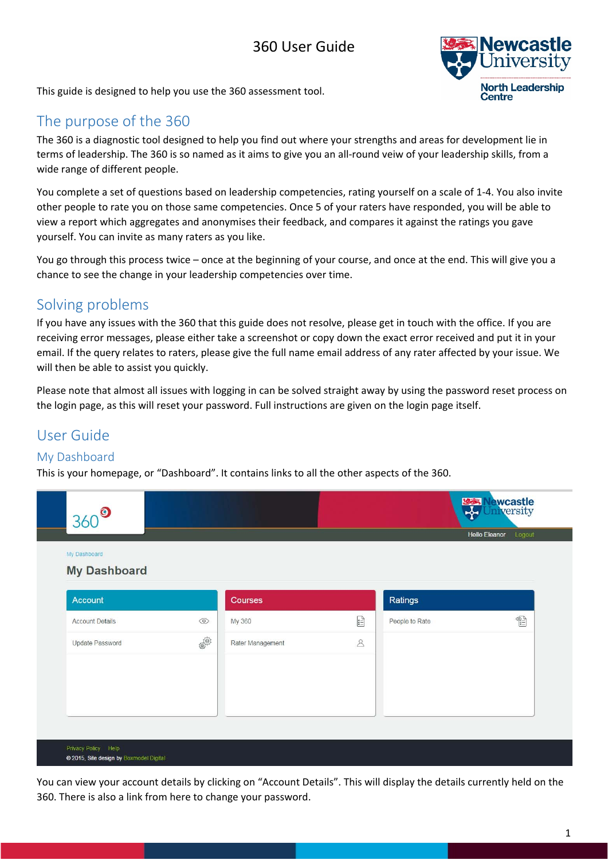# 360 User Guide



This guide is designed to help you use the 360 assessment tool.

# The purpose of the 360

The 360 is a diagnostic tool designed to help you find out where your strengths and areas for development lie in terms of leadership. The 360 is so named as it aims to give you an all‐round veiw of your leadership skills, from a wide range of different people.

You complete a set of questions based on leadership competencies, rating yourself on a scale of 1‐4. You also invite other people to rate you on those same competencies. Once 5 of your raters have responded, you will be able to view a report which aggregates and anonymises their feedback, and compares it against the ratings you gave yourself. You can invite as many raters as you like.

You go through this process twice – once at the beginning of your course, and once at the end. This will give you a chance to see the change in your leadership competencies over time.

## Solving problems

If you have any issues with the 360 that this guide does not resolve, please get in touch with the office. If you are receiving error messages, please either take a screenshot or copy down the exact error received and put it in your email. If the query relates to raters, please give the full name email address of any rater affected by your issue. We will then be able to assist you quickly.

Please note that almost all issues with logging in can be solved straight away by using the password reset process on the login page, as this will reset your password. Full instructions are given on the login page itself.

# User Guide

### My Dashboard

This is your homepage, or "Dashboard". It contains links to all the other aspects of the 360.



You can view your account details by clicking on "Account Details". This will display the details currently held on the 360. There is also a link from here to change your password.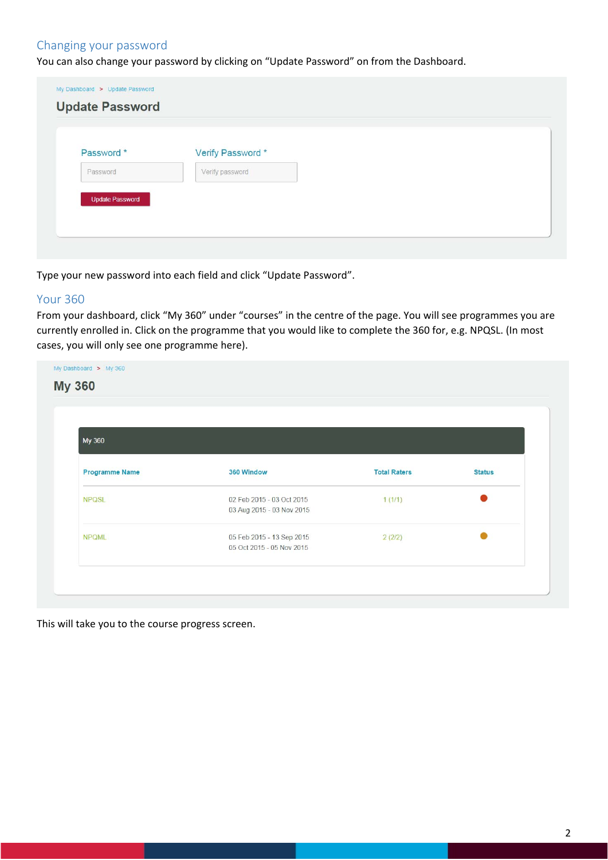### Changing your password

You can also change your password by clicking on "Update Password" on from the Dashboard.

| Password * | Verify Password * |  |
|------------|-------------------|--|
| Password   | Verify password   |  |

Type your new password into each field and click "Update Password".

#### Your 360

From your dashboard, click "My 360" under "courses" in the centre of the page. You will see programmes you are currently enrolled in. Click on the programme that you would like to complete the 360 for, e.g. NPQSL. (In most cases, you will only see one programme here).

| My 360                |                                                        |                     |               |  |
|-----------------------|--------------------------------------------------------|---------------------|---------------|--|
| <b>Programme Name</b> | 360 Window                                             | <b>Total Raters</b> | <b>Status</b> |  |
| <b>NPQSL</b>          | 02 Feb 2015 - 03 Oct 2015<br>03 Aug 2015 - 03 Nov 2015 | 1(1/1)              |               |  |
| <b>NPQML</b>          | 05 Feb 2015 - 13 Sep 2015<br>05 Oct 2015 - 05 Nov 2015 | 2(2/2)              |               |  |

This will take you to the course progress screen.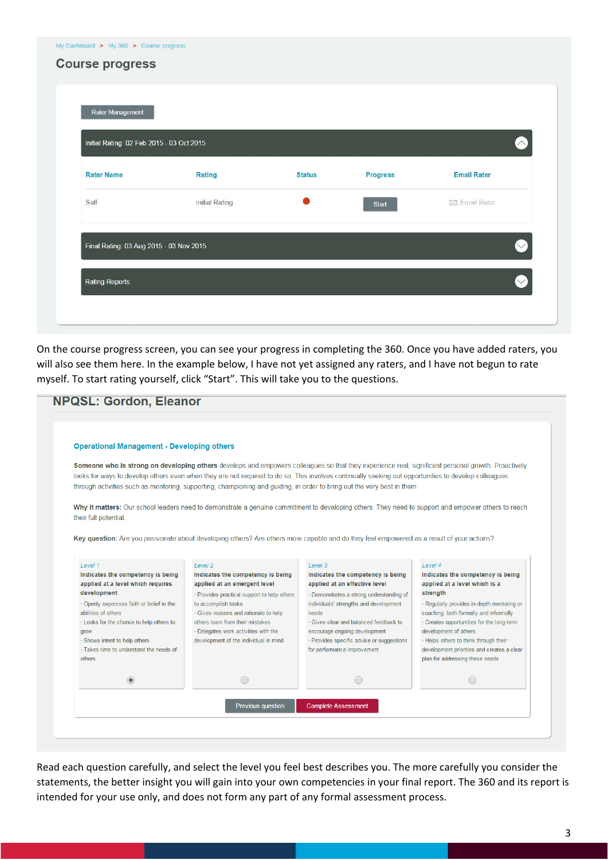| Rater Management<br>Initial Rating: 02 Feb 2015 - 03 Oct 2015 |                |               |                 | $\curvearrowright$ |
|---------------------------------------------------------------|----------------|---------------|-----------------|--------------------|
| <b>Rater Name</b>                                             | <b>Rating</b>  | <b>Status</b> | <b>Progress</b> | <b>Email Rater</b> |
| Self                                                          | Initial Rating |               | Start           | ⊠ Email Rater      |
| Final Rating: 03 Aug 2015 - 03 Nov 2015                       |                |               |                 | $\heartsuit$       |

On the course progress screen, you can see your progress in completing the 360. Once you have added raters, you will also see them here. In the example below, I have not yet assigned any raters, and I have not begun to rate myself. To start rating yourself, click "Start". This will take you to the questions.

| <b>Operational Management - Developing others</b>                      |                                                                                                                                                      |                                                                         |                                                                    |
|------------------------------------------------------------------------|------------------------------------------------------------------------------------------------------------------------------------------------------|-------------------------------------------------------------------------|--------------------------------------------------------------------|
|                                                                        |                                                                                                                                                      |                                                                         |                                                                    |
|                                                                        | Someone who is strong on developing others develops and empowers colleagues so that they experience real, significant personal growth. Proactively   |                                                                         |                                                                    |
|                                                                        | looks for ways to develop others even when they are not required to do so. This involves continually seeking out opportunities to develop colleagues |                                                                         |                                                                    |
|                                                                        | through activities such as mentoring, supporting, championing and guiding, in order to bring out the very best in them.                              |                                                                         |                                                                    |
|                                                                        | Why it matters: Our school leaders need to demonstrate a genuine commitment to developing others. They need to support and empower others to reach   |                                                                         |                                                                    |
| their full potential.                                                  |                                                                                                                                                      |                                                                         |                                                                    |
|                                                                        |                                                                                                                                                      |                                                                         |                                                                    |
|                                                                        | Key question: Are you passionate about developing others? Are others more capable and do they feel empowered as a result of your actions?            |                                                                         |                                                                    |
|                                                                        |                                                                                                                                                      |                                                                         |                                                                    |
| Level 1                                                                | Level <sub>2</sub>                                                                                                                                   | Level 3                                                                 | Level 4                                                            |
| Indicates the competency is being<br>applied at a level which requires | Indicates the competency is being<br>applied at an emergent level                                                                                    | Indicates the competency is being<br>applied at an effective level      | Indicates the competency is being<br>applied at a level which is a |
| development                                                            | - Provides practical support to help others                                                                                                          | - Demonstrates a strong understanding of                                | strength                                                           |
| - Openly expresses faith or belief in the                              | to accomplish tasks                                                                                                                                  | individuals' strengths and development                                  | - Regularly provides in-depth mentoring or                         |
| abilities of others                                                    | - Gives reasons and rationale to help                                                                                                                | needs                                                                   | coaching, both formally and informally                             |
| - Looks for the chance to help others to                               | others learn from their mistakes<br>- Delegates work activities with the                                                                             | - Gives clear and balanced feedback to<br>encourage ongoing development | - Creates opportunities for the long-term<br>development of others |
|                                                                        |                                                                                                                                                      | - Provides specific advice or suggestions                               | - Helps others to think through their                              |
| grow<br>- Shows intent to help others                                  | development of the individual in mind                                                                                                                |                                                                         | development priorities and creates a clear                         |
| - Takes time to understand the needs of                                |                                                                                                                                                      | for performance improvement                                             |                                                                    |
| others                                                                 |                                                                                                                                                      |                                                                         | plan for addressing these needs                                    |

Read each question carefully, and select the level you feel best describes you. The more carefully you consider the statements, the better insight you will gain into your own competencies in your final report. The 360 and its report is intended for your use only, and does not form any part of any formal assessment process.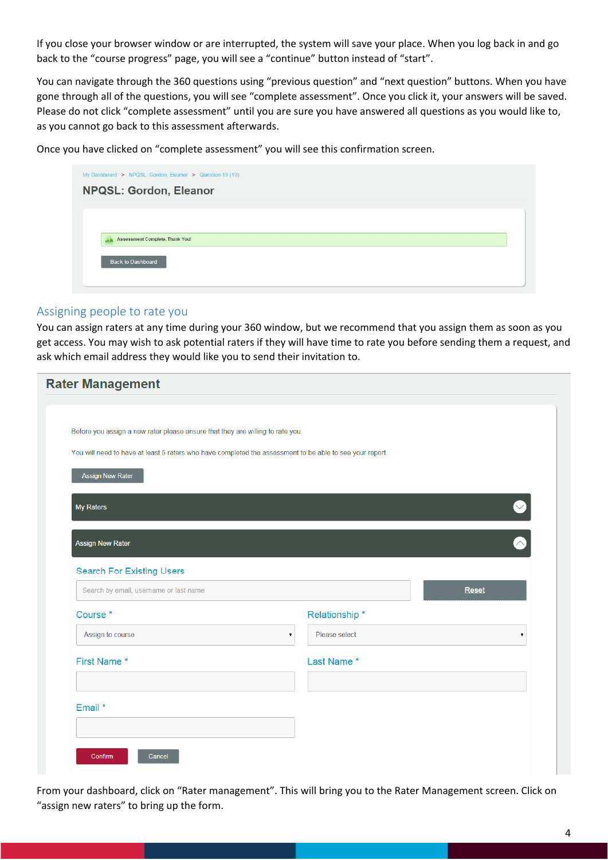If you close your browser window or are interrupted, the system will save your place. When you log back in and go back to the "course progress" page, you will see a "continue" button instead of "start".

You can navigate through the 360 questions using "previous question" and "next question" buttons. When you have gone through all of the questions, you will see "complete assessment". Once you click it, your answers will be saved. Please do not click "complete assessment" until you are sure you have answered all questions as you would like to, as you cannot go back to this assessment afterwards.

Once you have clicked on "complete assessment" you will see this confirmation screen.

| My Dashboard > NPQSL: Gordon, Eleanor > Question 19 (19) |  |
|----------------------------------------------------------|--|
| <b>NPQSL: Gordon, Eleanor</b>                            |  |
|                                                          |  |
|                                                          |  |
| <b>Assessment Complete. Thank You!</b><br>A              |  |
| Back to Dashboard                                        |  |
|                                                          |  |
|                                                          |  |

#### Assigning people to rate you

You can assign raters at any time during your 360 window, but we recommend that you assign them as soon as you get access. You may wish to ask potential raters if they will have time to rate you before sending them a request, and ask which email address they would like you to send their invitation to.

| <b>Rater Management</b>                                                                                                                                                                    |                                          |
|--------------------------------------------------------------------------------------------------------------------------------------------------------------------------------------------|------------------------------------------|
|                                                                                                                                                                                            |                                          |
| Before you assign a new rater please ensure that they are willing to rate you.<br>You will need to have at least 5 raters who have completed the assessment to be able to see your report. |                                          |
| <b>Assign New Rater</b>                                                                                                                                                                    |                                          |
| My Raters                                                                                                                                                                                  | $\bullet$                                |
| <b>Assign New Rater</b>                                                                                                                                                                    |                                          |
| <b>Search For Existing Users</b>                                                                                                                                                           |                                          |
| Search by email, username or last name                                                                                                                                                     | Reset                                    |
| Course <sup>*</sup>                                                                                                                                                                        | Relationship*                            |
| Assign to course<br>$\overline{\mathbf{v}}$                                                                                                                                                | Please select<br>$\overline{\mathbf{v}}$ |
| First Name*                                                                                                                                                                                | Last Name *                              |
| Email *                                                                                                                                                                                    |                                          |
|                                                                                                                                                                                            |                                          |
| Confirm<br>Cancel                                                                                                                                                                          |                                          |

From your dashboard, click on "Rater management". This will bring you to the Rater Management screen. Click on "assign new raters" to bring up the form.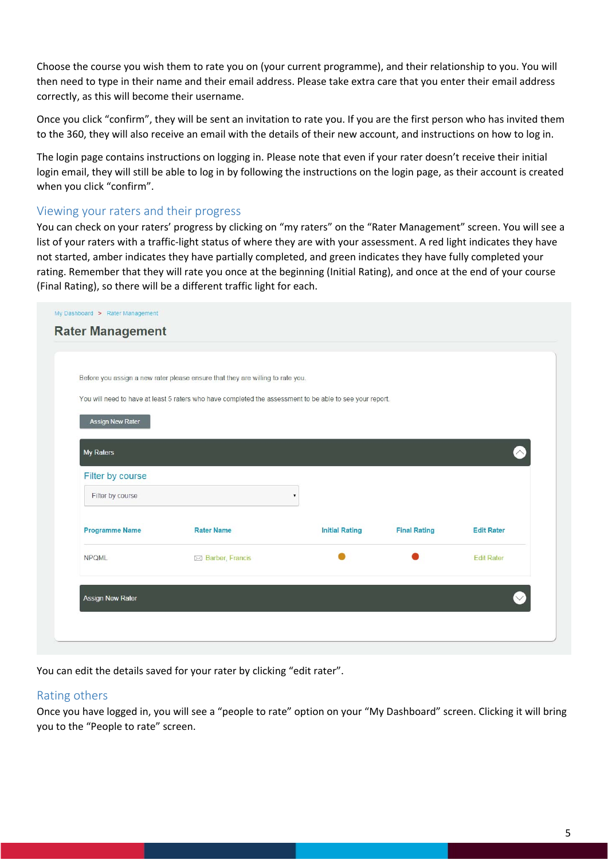Choose the course you wish them to rate you on (your current programme), and their relationship to you. You will then need to type in their name and their email address. Please take extra care that you enter their email address correctly, as this will become their username.

Once you click "confirm", they will be sent an invitation to rate you. If you are the first person who has invited them to the 360, they will also receive an email with the details of their new account, and instructions on how to log in.

The login page contains instructions on logging in. Please note that even if your rater doesn't receive their initial login email, they will still be able to log in by following the instructions on the login page, as their account is created when you click "confirm".

#### Viewing your raters and their progress

You can check on your raters' progress by clicking on "my raters" on the "Rater Management" screen. You will see a list of your raters with a traffic‐light status of where they are with your assessment. A red light indicates they have not started, amber indicates they have partially completed, and green indicates they have fully completed your rating. Remember that they will rate you once at the beginning (Initial Rating), and once at the end of your course (Final Rating), so there will be a different traffic light for each.

|                       | Before you assign a new rater please ensure that they are willing to rate you.                           |                       |                     |                   |
|-----------------------|----------------------------------------------------------------------------------------------------------|-----------------------|---------------------|-------------------|
|                       | You will need to have at least 5 raters who have completed the assessment to be able to see your report. |                       |                     |                   |
| Assign New Rater      |                                                                                                          |                       |                     |                   |
| My Raters             |                                                                                                          |                       |                     | $\wedge$          |
| Filter by course      |                                                                                                          |                       |                     |                   |
| Filter by course      |                                                                                                          | ۳                     |                     |                   |
| <b>Programme Name</b> | <b>Rater Name</b>                                                                                        | <b>Initial Rating</b> | <b>Final Rating</b> | <b>Edit Rater</b> |
| <b>NPQML</b>          | ⊠ Barber, Francis                                                                                        |                       |                     | <b>Edit Rater</b> |
|                       |                                                                                                          |                       |                     |                   |

You can edit the details saved for your rater by clicking "edit rater".

#### Rating others

Once you have logged in, you will see a "people to rate" option on your "My Dashboard" screen. Clicking it will bring you to the "People to rate" screen.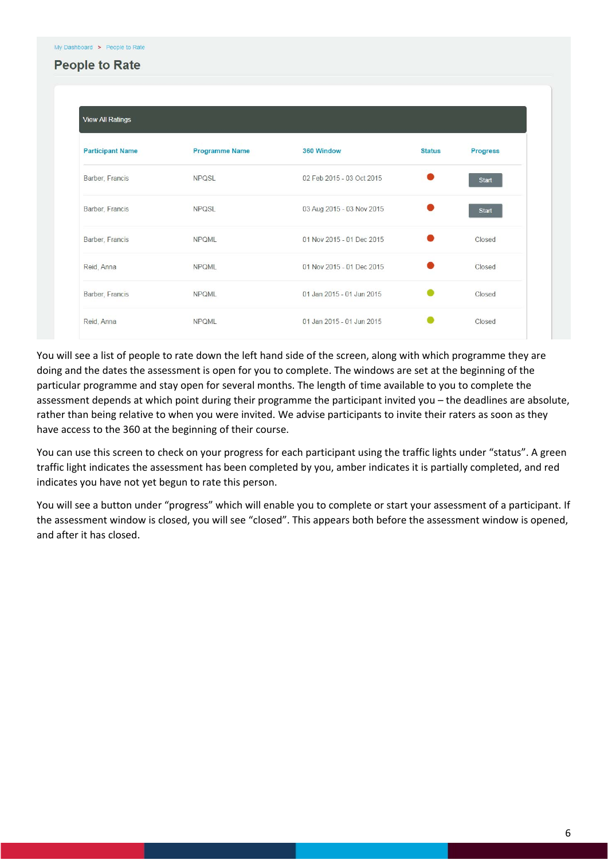### **People to Rate**

| <b>View All Ratings</b> |                       |                           |               |                 |
|-------------------------|-----------------------|---------------------------|---------------|-----------------|
| <b>Participant Name</b> | <b>Programme Name</b> | 360 Window                | <b>Status</b> | <b>Progress</b> |
| Barber, Francis         | <b>NPQSL</b>          | 02 Feb 2015 - 03 Oct 2015 |               | <b>Start</b>    |
| Barber, Francis         | <b>NPQSL</b>          | 03 Aug 2015 - 03 Nov 2015 |               | <b>Start</b>    |
| Barber, Francis         | <b>NPQML</b>          | 01 Nov 2015 - 01 Dec 2015 |               | Closed          |
| Reid, Anna              | <b>NPQML</b>          | 01 Nov 2015 - 01 Dec 2015 |               | Closed          |
| Barber, Francis         | <b>NPOML</b>          | 01 Jan 2015 - 01 Jun 2015 |               | Closed          |
| Reid, Anna              | <b>NPQML</b>          | 01 Jan 2015 - 01 Jun 2015 |               | Closed          |

You will see a list of people to rate down the left hand side of the screen, along with which programme they are doing and the dates the assessment is open for you to complete. The windows are set at the beginning of the particular programme and stay open for several months. The length of time available to you to complete the assessment depends at which point during their programme the participant invited you – the deadlines are absolute, rather than being relative to when you were invited. We advise participants to invite their raters as soon as they have access to the 360 at the beginning of their course.

You can use this screen to check on your progress for each participant using the traffic lights under "status". A green traffic light indicates the assessment has been completed by you, amber indicates it is partially completed, and red indicates you have not yet begun to rate this person.

You will see a button under "progress" which will enable you to complete or start your assessment of a participant. If the assessment window is closed, you will see "closed". This appears both before the assessment window is opened, and after it has closed.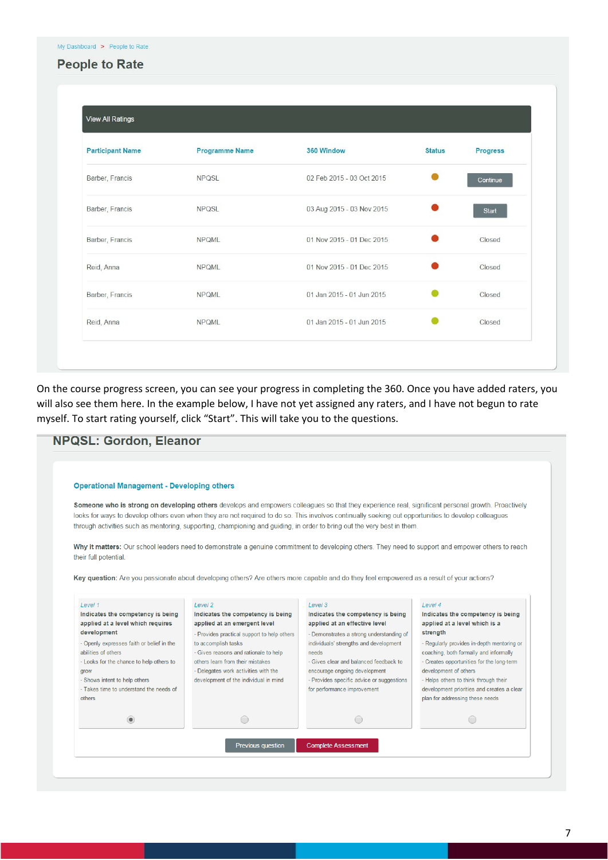### **People to Rate**

| <b>Participant Name</b> | <b>Programme Name</b> | 360 Window                | <b>Status</b> | <b>Progress</b> |
|-------------------------|-----------------------|---------------------------|---------------|-----------------|
| Barber, Francis         | <b>NPQSL</b>          | 02 Feb 2015 - 03 Oct 2015 |               | Continue        |
| Barber, Francis         | <b>NPQSL</b>          | 03 Aug 2015 - 03 Nov 2015 |               | <b>Start</b>    |
| Barber, Francis         | <b>NPQML</b>          | 01 Nov 2015 - 01 Dec 2015 |               | Closed          |
| Reid, Anna              | <b>NPQML</b>          | 01 Nov 2015 - 01 Dec 2015 |               | Closed          |
| Barber, Francis         | <b>NPQML</b>          | 01 Jan 2015 - 01 Jun 2015 |               | Closed          |
| Reid, Anna              | <b>NPQML</b>          | 01 Jan 2015 - 01 Jun 2015 |               | Closed          |

On the course progress screen, you can see your progress in completing the 360. Once you have added raters, you will also see them here. In the example below, I have not yet assigned any raters, and I have not begun to rate myself. To start rating yourself, click "Start". This will take you to the questions.

| <b>Operational Management - Developing others</b>                        |                                                                                                                                                                                                                                                                                                            |                                              |                                                                               |
|--------------------------------------------------------------------------|------------------------------------------------------------------------------------------------------------------------------------------------------------------------------------------------------------------------------------------------------------------------------------------------------------|----------------------------------------------|-------------------------------------------------------------------------------|
|                                                                          |                                                                                                                                                                                                                                                                                                            |                                              |                                                                               |
|                                                                          | Someone who is strong on developing others develops and empowers colleagues so that they experience real, significant personal growth. Proactively<br>looks for ways to develop others even when they are not required to do so. This involves continually seeking out opportunities to develop colleagues |                                              |                                                                               |
|                                                                          | through activities such as mentoring, supporting, championing and quiding, in order to bring out the very best in them.                                                                                                                                                                                    |                                              |                                                                               |
|                                                                          |                                                                                                                                                                                                                                                                                                            |                                              |                                                                               |
|                                                                          | Why it matters: Our school leaders need to demonstrate a genuine commitment to developing others. They need to support and empower others to reach                                                                                                                                                         |                                              |                                                                               |
| their full potential.                                                    |                                                                                                                                                                                                                                                                                                            |                                              |                                                                               |
|                                                                          | Key question: Are you passionate about developing others? Are others more capable and do they feel empowered as a result of your actions?                                                                                                                                                                  |                                              |                                                                               |
|                                                                          |                                                                                                                                                                                                                                                                                                            |                                              |                                                                               |
|                                                                          |                                                                                                                                                                                                                                                                                                            |                                              |                                                                               |
| Level 1<br>Indicates the competency is being                             | Level 2<br>Indicates the competency is being                                                                                                                                                                                                                                                               | Level 3<br>Indicates the competency is being | Level 4<br>Indicates the competency is being                                  |
|                                                                          |                                                                                                                                                                                                                                                                                                            |                                              |                                                                               |
| applied at a level which requires                                        | applied at an emergent level                                                                                                                                                                                                                                                                               | applied at an effective level                | applied at a level which is a                                                 |
| development                                                              | - Provides practical support to help others                                                                                                                                                                                                                                                                | - Demonstrates a strong understanding of     | strength                                                                      |
| - Openly expresses faith or belief in the                                | to accomplish tasks                                                                                                                                                                                                                                                                                        | individuals' strengths and development       | - Regularly provides in-depth mentoring or                                    |
| abilities of others                                                      | - Gives reasons and rationale to help                                                                                                                                                                                                                                                                      | needs                                        | coaching, both formally and informally                                        |
| - Looks for the chance to help others to                                 | others learn from their mistakes                                                                                                                                                                                                                                                                           | - Gives clear and balanced feedback to       | - Creates opportunities for the long-term                                     |
| grow                                                                     | - Delegates work activities with the                                                                                                                                                                                                                                                                       | encourage ongoing development                | development of others                                                         |
| - Shows intent to help others<br>- Takes time to understand the needs of | development of the individual in mind                                                                                                                                                                                                                                                                      | - Provides specific advice or suggestions    | - Helps others to think through their                                         |
| others                                                                   |                                                                                                                                                                                                                                                                                                            | for performance improvement                  | development priorities and creates a clear<br>plan for addressing these needs |
|                                                                          |                                                                                                                                                                                                                                                                                                            |                                              |                                                                               |
| $\circledcirc$                                                           | $\bigcirc$                                                                                                                                                                                                                                                                                                 | ◯                                            | $\bigcirc$                                                                    |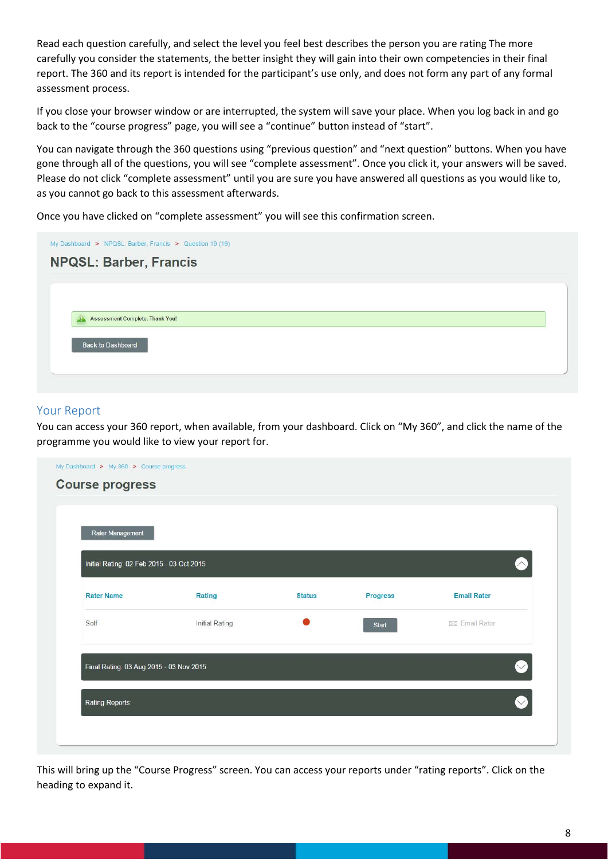Read each question carefully, and select the level you feel best describes the person you are rating The more carefully you consider the statements, the better insight they will gain into their own competencies in their final report. The 360 and its report is intended for the participant's use only, and does not form any part of any formal assessment process.

If you close your browser window or are interrupted, the system will save your place. When you log back in and go back to the "course progress" page, you will see a "continue" button instead of "start".

You can navigate through the 360 questions using "previous question" and "next question" buttons. When you have gone through all of the questions, you will see "complete assessment". Once you click it, your answers will be saved. Please do not click "complete assessment" until you are sure you have answered all questions as you would like to, as you cannot go back to this assessment afterwards.

Once you have clicked on "complete assessment" you will see this confirmation screen.

| <b>NPQSL: Barber, Francis</b><br><b>Assessment Complete. Thank You!</b><br><b>Back to Dashboard</b> | My Dashboard > NPQSL: Barber, Francis > Question 19 (19) |  |
|-----------------------------------------------------------------------------------------------------|----------------------------------------------------------|--|
|                                                                                                     |                                                          |  |
|                                                                                                     |                                                          |  |
|                                                                                                     |                                                          |  |
|                                                                                                     |                                                          |  |
|                                                                                                     |                                                          |  |
|                                                                                                     |                                                          |  |
|                                                                                                     |                                                          |  |

#### Your Report

You can access your 360 report, when available, from your dashboard. Click on "My 360", and click the name of the programme you would like to view your report for.

| Rater Management                          |                |               |                 |                    |
|-------------------------------------------|----------------|---------------|-----------------|--------------------|
| Initial Rating: 02 Feb 2015 - 03 Oct 2015 |                |               |                 | $\geq$             |
| <b>Rater Name</b>                         | Rating         | <b>Status</b> | <b>Progress</b> | <b>Email Rater</b> |
| Self                                      | Initial Rating |               | <b>Start</b>    | ⊠ Email Rater      |
| Final Rating: 03 Aug 2015 - 03 Nov 2015   |                |               |                 | $\vee$             |
|                                           |                |               |                 |                    |

This will bring up the "Course Progress" screen. You can access your reports under "rating reports". Click on the heading to expand it.